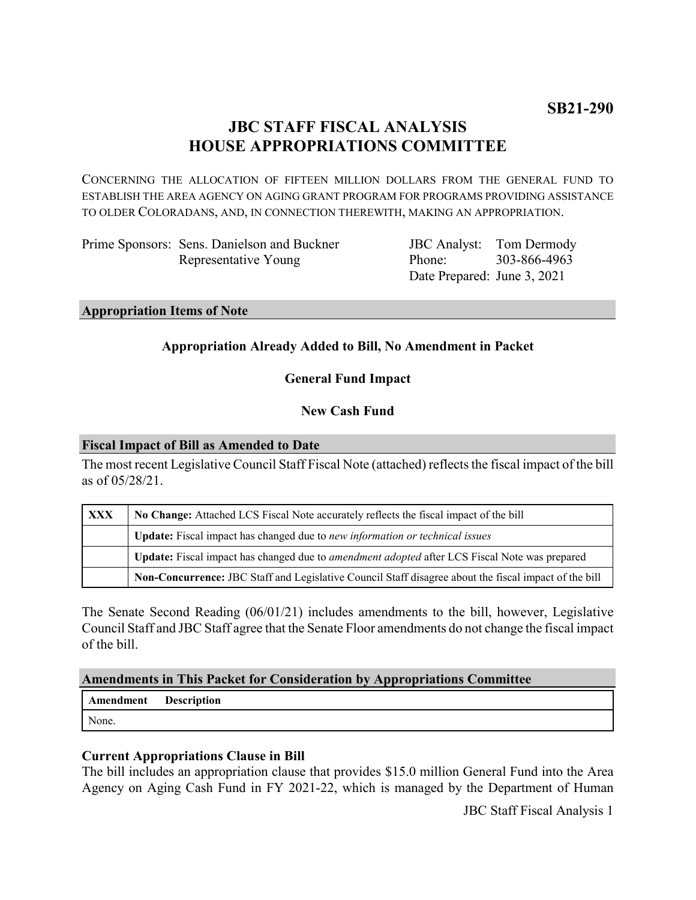# **JBC STAFF FISCAL ANALYSIS HOUSE APPROPRIATIONS COMMITTEE**

CONCERNING THE ALLOCATION OF FIFTEEN MILLION DOLLARS FROM THE GENERAL FUND TO ESTABLISH THE AREA AGENCY ON AGING GRANT PROGRAM FOR PROGRAMS PROVIDING ASSISTANCE TO OLDER COLORADANS, AND, IN CONNECTION THEREWITH, MAKING AN APPROPRIATION.

Prime Sponsors: Sens. Danielson and Buckner Representative Young

JBC Analyst: Phone: Date Prepared: June 3, 2021 Tom Dermody 303-866-4963

**Appropriation Items of Note**

# **Appropriation Already Added to Bill, No Amendment in Packet**

# **General Fund Impact**

### **New Cash Fund**

#### **Fiscal Impact of Bill as Amended to Date**

The most recent Legislative Council Staff Fiscal Note (attached) reflects the fiscal impact of the bill as of 05/28/21.

| <b>XXX</b> | No Change: Attached LCS Fiscal Note accurately reflects the fiscal impact of the bill                 |
|------------|-------------------------------------------------------------------------------------------------------|
|            | Update: Fiscal impact has changed due to new information or technical issues                          |
|            | Update: Fiscal impact has changed due to <i>amendment adopted</i> after LCS Fiscal Note was prepared  |
|            | Non-Concurrence: JBC Staff and Legislative Council Staff disagree about the fiscal impact of the bill |

The Senate Second Reading (06/01/21) includes amendments to the bill, however, Legislative Council Staff and JBC Staff agree that the Senate Floor amendments do not change the fiscal impact of the bill.

#### **Amendments in This Packet for Consideration by Appropriations Committee**

| Amendment Description |  |
|-----------------------|--|
| None.                 |  |

# **Current Appropriations Clause in Bill**

The bill includes an appropriation clause that provides \$15.0 million General Fund into the Area Agency on Aging Cash Fund in FY 2021-22, which is managed by the Department of Human